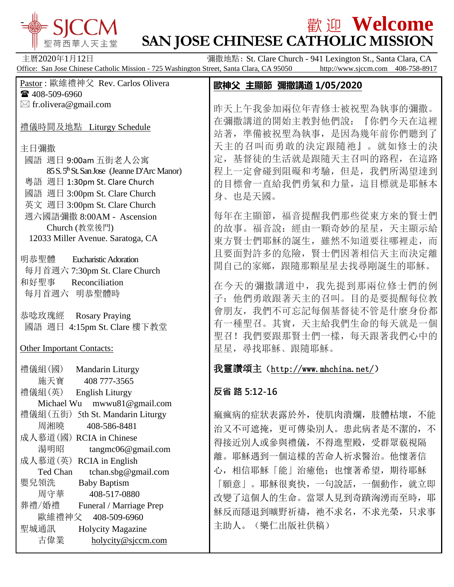

## $\frac{1}{2}$   $\frac{1}{2}$   $\frac{1}{2}$   $\frac{1}{2}$   $\frac{1}{2}$   $\frac{1}{2}$   $\frac{1}{2}$   $\frac{1}{2}$   $\frac{1}{2}$   $\frac{1}{2}$   $\frac{1}{2}$   $\frac{1}{2}$   $\frac{1}{2}$   $\frac{1}{2}$   $\frac{1}{2}$   $\frac{1}{2}$   $\frac{1}{2}$   $\frac{1}{2}$   $\frac{1}{2}$   $\frac{1}{2}$   $\frac{1}{2}$   $\frac{1}{2}$ **SAN JOSE CHINESE CATHOLIC MISSION**

主曆2020年1月12日 调撒地點: St. Clare Church - 941 Lexington St., Santa Clara, CA Office: San Jose Chinese Catholic Mission - 725 Washington Street, Santa Clara, CA 95050 http://www.sjccm.com 408-758-8917

| Pastor : 歐維禮神父 Rev. Carlos Olivera                                                                                                                                                                                                                                                                                                                                             | 歐神父 主顯節 彌撒講道 1/05/2020                                                                                                                                                                                                                                |
|--------------------------------------------------------------------------------------------------------------------------------------------------------------------------------------------------------------------------------------------------------------------------------------------------------------------------------------------------------------------------------|-------------------------------------------------------------------------------------------------------------------------------------------------------------------------------------------------------------------------------------------------------|
| ☎ 408-509-6960                                                                                                                                                                                                                                                                                                                                                                 |                                                                                                                                                                                                                                                       |
| $\boxtimes$ fr.olivera@gmail.com<br>禮儀時間及地點 Liturgy Schedule                                                                                                                                                                                                                                                                                                                   | 昨天上午我參加兩位年青修士被祝聖為執事的彌撒。<br>在彌撒講道的開始主教對他們說:<br>『你們今天在這裡<br>站著, 準備被祝聖為執事, 是因為幾年前你們聽到了                                                                                                                                                                   |
| 主日彌撒                                                                                                                                                                                                                                                                                                                                                                           | 天主的召叫而勇敢的決定跟隨祂』。就如修士的決                                                                                                                                                                                                                                |
| 國語 週日 9:00am 五街老人公寓<br>85 S. 5 <sup>th</sup> St. San Jose (Jeanne D'Arc Manor)<br>粵語 週日 1:30pm St. Clare Church<br>國語 週日 3:00pm St. Clare Church                                                                                                                                                                                                                               | 定, 基督徒的生活就是跟隨天主召叫的路程, 在這路<br>程上一定會碰到阻礙和考驗, 但是, 我們所渴望達到<br>的目標會一直給我們勇氣和力量,這目標就是耶穌本                                                                                                                                                                     |
| 英文 週日 3:00pm St. Clare Church<br>週六國語彌撒 8:00AM - Ascension                                                                                                                                                                                                                                                                                                                     | 身、也是天國。<br>每年在主顯節, 福音提醒我們那些從東方來的賢士們                                                                                                                                                                                                                   |
| Church (教堂後門)<br>12033 Miller Avenue. Saratoga, CA<br>明恭聖體<br><b>Eucharistic Adoration</b>                                                                                                                                                                                                                                                                                     | 的故事。福音說: 經由一顆奇妙的星星, 天主顯示給<br>東方賢士們耶穌的誕生,雖然不知道要往哪裡走,而<br>且要面對許多的危險, 賢士們因著相信天主而決定離                                                                                                                                                                      |
| 每月首週六 7:30pm St. Clare Church                                                                                                                                                                                                                                                                                                                                                  | 開自己的家鄉, 跟隨那顆星星去找尋剛誕生的耶穌。                                                                                                                                                                                                                              |
| 和好聖事<br>Reconciliation<br>每月首週六 明恭聖體時                                                                                                                                                                                                                                                                                                                                          | 在今天的彌撒講道中, 我先提到那兩位修士們的例<br>子: 他們勇敢跟著天主的召叫。目的是要提醒每位教                                                                                                                                                                                                   |
| <b>Rosary Praying</b><br>恭唸玫瑰經<br>國語 週日 4:15pm St. Clare 樓下教堂                                                                                                                                                                                                                                                                                                                  | 會朋友, 我們不可忘記每個基督徒不管是什麼身份都<br>有一種聖召。其實, 天主給我們生命的每天就是一個<br>我們要跟那賢士們一樣, 每天跟著我們心中的<br>聖召!                                                                                                                                                                  |
| <b>Other Important Contacts:</b>                                                                                                                                                                                                                                                                                                                                               | 星星, 尋找耶穌、跟隨耶穌。                                                                                                                                                                                                                                        |
| 禮儀組(國)<br>Mandarin Liturgy<br>施天寶<br>408 777-3565                                                                                                                                                                                                                                                                                                                              | 我靈讚頌主 (http://www.mhchina.net/)                                                                                                                                                                                                                       |
| 禮儀組(英)<br><b>English Liturgy</b><br>Michael Wu mwwu81@gmail.com                                                                                                                                                                                                                                                                                                                | 反省 路 5:12-16                                                                                                                                                                                                                                          |
| 5th St. Mandarin Liturgy<br>禮儀組(五街)<br>周湘曉<br>408-586-8481<br>成人慕道(國) RCIA in Chinese<br>湯明昭<br>tangmc06@gmail.com<br>成人慕道(英)<br><b>RCIA</b> in English<br>tchan.sbg@gmail.com<br>Ted Chan<br>嬰兒領洗<br><b>Baby Baptism</b><br>周守華<br>408-517-0880<br>葬禮/婚禮<br>Funeral / Marriage Prep<br>歐維禮神父<br>408-509-6960<br>聖城通訊<br><b>Holycity Magazine</b><br>古偉業<br>holycity@sjccm.com | 痲瘋病的症狀表露於外,使肌肉潰爛,肢體枯壞,不能<br>治又不可遮掩, 更可傳染別人。患此病者是不潔的, 不<br>得接近別人或參與禮儀, 不得進聖殿, 受群眾藐視隔<br>離。耶穌遇到一個這樣的苦命人祈求醫治。他懷著信<br>心, 相信耶穌「能」治癒他; 也懷著希望, 期待耶穌<br>「願意」。耶穌很爽快,一句說話,一個動作,就立即<br>改變了這個人的生命。當眾人見到奇蹟洶湧而至時, 耶<br>穌反而隱退到曠野祈禱, 祂不求名, 不求光榮, 只求事<br>主助人。(樂仁出版社供稿) |